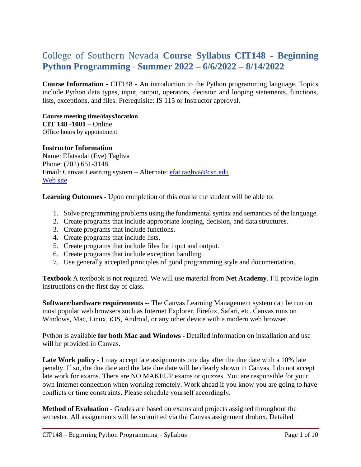# College of Southern Nevada **Course Syllabus CIT148 - Beginning Python Programming** - **Summer 2022 – 6/6/2022 – 8/14/2022**

**Course Information -** CIT148 - An introduction to the Python programming language. Topics include Python data types, input, output, operators, decision and looping statements, functions, lists, exceptions, and files. Prerequisite: IS 115 or Instructor approval.

**Course meeting time/days/location CIT 148 -1001 –** Online Office hours by appointment

#### **Instructor Information**

Name: Efatsadat (Eve) Taghva Phone: (702) 651-3148 Email: Canvas Learning system – Alternate: [efat.taghva@csn.edu](mailto:efat.taghva@csn.edu) [Web site](https://bellagio.csn.edu/~etaghva/courses/)

**Learning Outcomes -** Upon completion of this course the student will be able to:

- 1. Solve programming problems using the fundamental syntax and semantics of the language.
- 2. Create programs that include appropriate looping, decision, and data structures.
- 3. Create programs that include functions.
- 4. Create programs that include lists.
- 5. Create programs that include files for input and output.
- 6. Create programs that include exception handling.
- 7. Use generally accepted principles of good programming style and documentation.

**Textbook** A textbook is not required. We will use material from **Net Academy**. I'll provide login instructions on the first day of class.

**Software/hardware requirements --** The Canvas Learning Management system can be run on most popular web browsers such as Internet Explorer, Firefox, Safari, etc. Canvas runs on Windows, Mac, Linux, iOS, Android, or any other device with a modern web browser.

Python is available **for both Mac and Windows -** Detailed information on installation and use will be provided in Canvas.

Late Work policy - I may accept late assignments one day after the due date with a 10% late penalty. If so, the due date and the late due date will be clearly shown in Canvas. I do not accept late work for exams. There are NO MAKEUP exams or quizzes. You are responsible for your own Internet connection when working remotely. Work ahead if you know you are going to have conflicts or time constraints. Please schedule yourself accordingly.

**Method of Evaluation -** Grades are based on exams and projects assigned throughout the semester. All assignments will be submitted via the Canvas assignment drobox. Detailed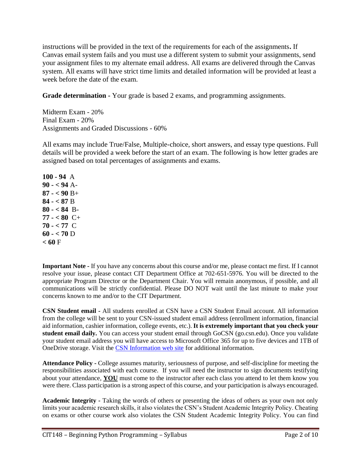instructions will be provided in the text of the requirements for each of the assignments**.** If Canvas email system fails and you must use a different system to submit your assignments, send your assignment files to my alternate email address. All exams are delivered through the Canvas system. All exams will have strict time limits and detailed information will be provided at least a week before the date of the exam.

**Grade determination -** Your grade is based 2 exams, and programming assignments.

Midterm Exam - 20% Final Exam - 20% Assignments and Graded Discussions - 60%

All exams may include True/False, Multiple-choice, short answers, and essay type questions. Full details will be provided a week before the start of an exam. The following is how letter grades are assigned based on total percentages of assignments and exams.

**100 - 94** A **90 - < 94** A-**87 - < 90** B+ **84 - < 87** B **80 - < 84** B-**77 - < 80** C+ **70 - < 77** C **60 - < 70** D **< 60** F

**Important Note -** If you have any concerns about this course and/or me, please contact me first. If I cannot resolve your issue, please contact CIT Department Office at 702-651-5976. You will be directed to the appropriate Program Director or the Department Chair. You will remain anonymous, if possible, and all communications will be strictly confidential. Please DO NOT wait until the last minute to make your concerns known to me and/or to the CIT Department.

**CSN Student email -** All students enrolled at CSN have a CSN Student Email account. All information from the college will be sent to your CSN-issued student email address (enrollment information, financial aid information, cashier information, college events, etc.). **It is extremely important that you check your student email daily.** You can access your student email through GoCSN (go.csn.edu). Once you validate your student email address you will have access to Microsoft Office 365 for up to five devices and 1TB of OneDrive storage. Visit the [CSN Information web site](http://www.csn.edu/email) for additional information.

**Attendance Policy -** College assumes maturity, seriousness of purpose, and self-discipline for meeting the responsibilities associated with each course. If you will need the instructor to sign documents testifying about your attendance, **YOU** must come to the instructor after each class you attend to let them know you were there. Class participation is a strong aspect of this course, and your participation is always encouraged.

**Academic Integrity -** Taking the words of others or presenting the ideas of others as your own not only limits your academic research skills, it also violates the CSN's Student Academic Integrity Policy. Cheating on exams or other course work also violates the CSN Student Academic Integrity Policy. You can find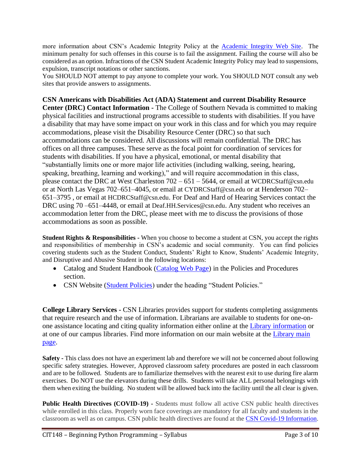more information about CSN's Academic Integrity Policy at the [Academic Integrity Web Site.](https://at.csn.edu/documents/student-academic-integrity-policy) The minimum penalty for such offenses in this course is to fail the assignment. Failing the course will also be considered as an option. Infractions of the CSN Student Academic Integrity Policy may lead to suspensions, expulsion, transcript notations or other sanctions.

You SHOULD NOT attempt to pay anyone to complete your work. You SHOULD NOT consult any web sites that provide answers to assignments.

**CSN Americans with Disabilities Act (ADA) Statement and current Disability Resource Center (DRC) Contact Information -** The College of Southern Nevada is committed to making physical facilities and instructional programs accessible to students with disabilities. If you have a disability that may have some impact on your work in this class and for which you may require accommodations, please visit the Disability Resource Center (DRC) so that such accommodations can be considered. All discussions will remain confidential. The DRC has offices on all three campuses. These serve as the focal point for coordination of services for students with disabilities. If you have a physical, emotional, or mental disability that "substantially limits one or more major life activities (including walking, seeing, hearing, speaking, breathing, learning and working)," and will require accommodation in this class, please contact the DRC at West Charleston 702 – 651 – 5644, or email at [WCDRCStaff@csn.edu](mailto:WCDRCStaff@csn.edu) or at North Las Vegas 702–651–4045, or email at [CYDRCStaff@csn.edu](mailto:CYDRCStaff@csn.edu) or at Henderson 702– 651–3795 , or email at [HCDRCStaff@csn.edu](mailto:HCDRCStaff@csn.edu). For Deaf and Hard of Hearing Services contact the DRC using 70 –651–4448, or email at [Deaf.HH.Services@csn.edu](mailto:Deaf.HH.Services@csn.edu). Any student who receives an accommodation letter from the DRC, please meet with me to discuss the provisions of those accommodations as soon as possible.

**Student Rights & Responsibilities -** When you choose to become a student at CSN, you accept the rights and responsibilities of membership in CSN's academic and social community. You can find policies covering students such as the Student Conduct, Students' Right to Know, Students' Academic Integrity, and Disruptive and Abusive Student in the following locations:

- Catalog and Student Handbook [\(Catalog Web Page\)](https://www.csn.edu/catalog) in the Policies and Procedures section.
- CSN Website [\(Student Policies\)](https://www.csn.edu/policies-procedures) under the heading "Student Policies."

**College Library Services -** CSN Libraries provides support for students completing assignments that require research and the use of information. Librarians are available to students for one-onone assistance locating and citing quality information either online at the [Library information](https://library.csn.edu/ask/) or at one of our campus libraries. Find more information on our main website at the [Library main](https://library.csn.edu/)  [page.](https://library.csn.edu/)

**Safety -** This class does not have an experiment lab and therefore we will not be concerned about following specific safety strategies. However, Approved classroom safety procedures are posted in each classroom and are to be followed. Students are to familiarize themselves with the nearest exit to use during fire alarm exercises. Do NOT use the elevators during these drills. Students will take ALL personal belongings with them when exiting the building. No student will be allowed back into the facility until the all clear is given.

**Public Health Directives (COVID-19) -** Students must follow all active CSN public health directives while enrolled in this class. Properly worn face coverings are mandatory for all faculty and students in the classroom as well as on campus. CSN public health directives are found at the [CSN Covid-19 Information.](https://at.csn.edu/covid-19)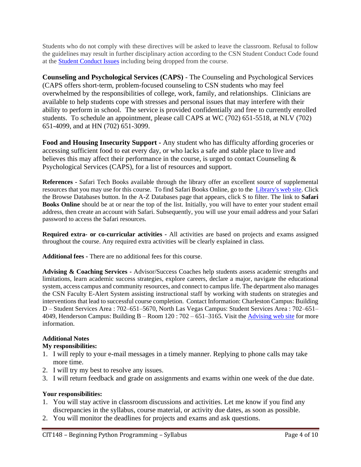Students who do not comply with these directives will be asked to leave the classroom. Refusal to follow the guidelines may result in further disciplinary action according to the CSN Student Conduct Code found at the [Student Conduct Issues](https://www.csn.edu/sites/default/files/documents/student_conduct_code_policy_1.pdf) including being dropped from the course.

**Counseling and Psychological Services (CAPS)** - The Counseling and Psychological Services (CAPS offers short-term, problem-focused counseling to CSN students who may feel overwhelmed by the responsibilities of college, work, family, and relationships. Clinicians are available to help students cope with stresses and personal issues that may interfere with their ability to perform in school. The service is provided confidentially and free to currently enrolled students. To schedule an appointment, please call CAPS at WC (702) 651-5518, at NLV (702) 651-4099, and at HN (702) 651-3099.

**Food and Housing Insecurity Support -** Any student who has difficulty affording groceries or accessing sufficient food to eat every day, or who lacks a safe and stable place to live and believes this may affect their performance in the course, is urged to contact Counseling & Psychological Services (CAPS), for a list of resources and support.

**References -** Safari Tech Books available through the library offer an excellent source of supplemental resources that you may use for this course. To find Safari Books Online, go to the [Library's web site.](file:///C:/Users/lrodis/AppData/Local/Microsoft/Windows/INetCache/Content.Outlook/KJ4TO412/library.csn.edu) Click the Browse Databases button. In the A-Z Databases page that appears, click S to filter. The link to **Safari Books Online** should be at or near the top of the list. Initially, you will have to enter your student email address, then create an account with Safari. Subsequently, you will use your email address and your Safari password to access the Safari resources.

**Required extra- or co-curricular activities -** All activities are based on projects and exams assigned throughout the course. Any required extra activities will be clearly explained in class.

**Additional fees -** There are no additional fees for this course.

**Advising & Coaching Services -** Advisor/Success Coaches help students assess academic strengths and limitations, learn academic success strategies, explore careers, declare a major, navigate the educational system, access campus and community resources, and connect to campus life. The department also manages the CSN Faculty E-Alert System assisting instructional staff by working with students on strategies and interventions that lead to successful course completion. Contact Information: Charleston Campus: Building D – Student Services Area : 702–651–5670, North Las Vegas Campus: Student Services Area : 702–651– 4049, Henderson Campus: Building B – Room 120 : 702 – 651–3165. Visit the [Advising web site](https://www.csn.edu/advising) for more information.

## **Additional Notes**

## **My responsibilities:**

- 1. I will reply to your e-mail messages in a timely manner. Replying to phone calls may take more time.
- 2. I will try my best to resolve any issues.
- 3. I will return feedback and grade on assignments and exams within one week of the due date.

## **Your responsibilities:**

- 1. You will stay active in classroom discussions and activities. Let me know if you find any discrepancies in the syllabus, course material, or activity due dates, as soon as possible.
- 2. You will monitor the deadlines for projects and exams and ask questions.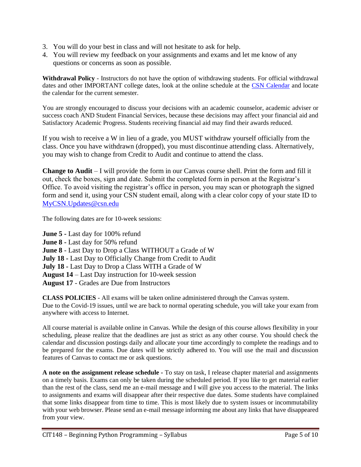- 3. You will do your best in class and will not hesitate to ask for help.
- 4. You will review my feedback on your assignments and exams and let me know of any questions or concerns as soon as possible.

**Withdrawal Policy** - Instructors do not have the option of withdrawing students. For official withdrawal dates and other IMPORTANT college dates, look at the online schedule at the [CSN Calendar](https://www.csn.edu/calendar-catalog-schedule) and locate the calendar for the current semester.

You are strongly encouraged to discuss your decisions with an academic counselor, academic adviser or success coach AND Student Financial Services, because these decisions may affect your financial aid and Satisfactory Academic Progress. Students receiving financial aid may find their awards reduced.

If you wish to receive a W in lieu of a grade, you MUST withdraw yourself officially from the class. Once you have withdrawn (dropped), you must discontinue attending class. Alternatively, you may wish to change from Credit to Audit and continue to attend the class.

**Change to Audit** – I will provide the form in our Canvas course shell. Print the form and fill it out, check the boxes, sign and date. Submit the completed form in person at the Registrar's Office. To avoid visiting the registrar's office in person, you may scan or photograph the signed form and send it, using your CSN student email, along with a clear color copy of your state ID to [MyCSN.Updates@csn.edu](mailto:MyCSN.Updates@csn.edu)

The following dates are for 10-week sessions:

**June 5 -** Last day for 100% refund **June 8 -** Last day for 50% refund **June 8** - Last Day to Drop a Class WITHOUT a Grade of W **July 18 -** Last Day to Officially Change from Credit to Audit **July 18 -** Last Day to Drop a Class WITH a Grade of W **August 14** – Last Day instruction for 10-week session **August 17** - Grades are Due from Instructors

**CLASS POLICIES** - All exams will be taken online administered through the Canvas system. Due to the Covid-19 issues, until we are back to normal operating schedule, you will take your exam from anywhere with access to Internet.

All course material is available online in Canvas. While the design of this course allows flexibility in your scheduling, please realize that the deadlines are just as strict as any other course. You should check the calendar and discussion postings daily and allocate your time accordingly to complete the readings and to be prepared for the exams. Due dates will be strictly adhered to. You will use the mail and discussion features of Canvas to contact me or ask questions.

**A note on the assignment release schedule -** To stay on task, I release chapter material and assignments on a timely basis. Exams can only be taken during the scheduled period. If you like to get material earlier than the rest of the class, send me an e-mail message and I will give you access to the material. The links to assignments and exams will disappear after their respective due dates. Some students have complained that some links disappear from time to time. This is most likely due to system issues or incommutability with your web browser. Please send an e-mail message informing me about any links that have disappeared from your view.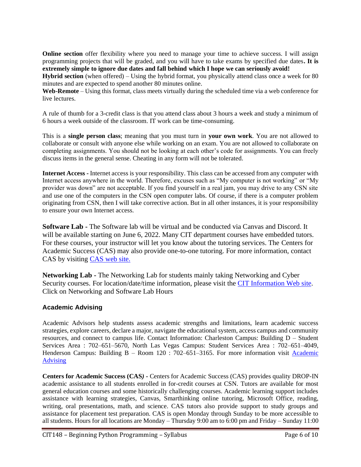**Online section** offer flexibility where you need to manage your time to achieve success. I will assign programming projects that will be graded, and you will have to take exams by specified due dates**. It is extremely simple to ignore due dates and fall behind which I hope we can seriously avoid!**

**Hybrid section** (when offered) – Using the hybrid format, you physically attend class once a week for 80 minutes and are expected to spend another 80 minutes online.

**Web-Remote** – Using this format, class meets virtually during the scheduled time via a web conference for live lectures.

A rule of thumb for a 3-credit class is that you attend class about 3 hours a week and study a minimum of 6 hours a week outside of the classroom. IT work can be time-consuming.

This is a **single person class**; meaning that you must turn in **your own work**. You are not allowed to collaborate or consult with anyone else while working on an exam. You are not allowed to collaborate on completing assignments. You should not be looking at each other's code for assignments. You can freely discuss items in the general sense. Cheating in any form will not be tolerated.

**Internet Access -** Internet access is your responsibility. This class can be accessed from any computer with Internet access anywhere in the world. Therefore, excuses such as "My computer is not working" or "My provider was down" are not acceptable. If you find yourself in a real jam, you may drive to any CSN site and use one of the computers in the CSN open computer labs. Of course, if there is a computer problem originating from CSN, then I will take corrective action. But in all other instances, it is your responsibility to ensure your own Internet access.

**Software Lab -** The Software lab will be virtual and be conducted via Canvas and Discord. It will be available starting on June 6, 2022. Many CIT department courses have embedded tutors. For these courses, your instructor will let you know about the tutoring services. The Centers for Academic Success (CAS) may also provide one-to-one tutoring. For more information, contact CAS by visiting [CAS web site.](http://www.csn.edu/centers-academic-success)

**Networking Lab -** The Networking Lab for students mainly taking Networking and Cyber Security courses. For location/date/time information, please visit the [CIT Information Web site.](https://at.csn.edu/cit-information) Click on Networking and Software Lab Hours

## **Academic Advising**

Academic Advisors help students assess academic strengths and limitations, learn academic success strategies, explore careers, declare a major, navigate the educational system, access campus and community resources, and connect to campus life. Contact Information: Charleston Campus: Building D – Student Services Area : 702–651–5670, North Las Vegas Campus: Student Services Area : 702–651–4049, Henderson Campus: Building B – Room 120 : 702–651–3165. For more information visit Academic [Advising](https://www.csn.edu/advising)

**Centers for Academic Success (CAS***)* **-** Centers for Academic Success (CAS) provides quality DROP-IN academic assistance to all students enrolled in for-credit courses at CSN. Tutors are available for most general education courses and some historically challenging courses. Academic learning support includes assistance with learning strategies, Canvas, Smarthinking online tutoring, Microsoft Office, reading, writing, oral presentations, math, and science. CAS tutors also provide support to study groups and assistance for placement test preparation. CAS is open Monday through Sunday to be more accessible to all students. Hours for all locations are Monday – Thursday 9:00 am to 6:00 pm and Friday – Sunday 11:00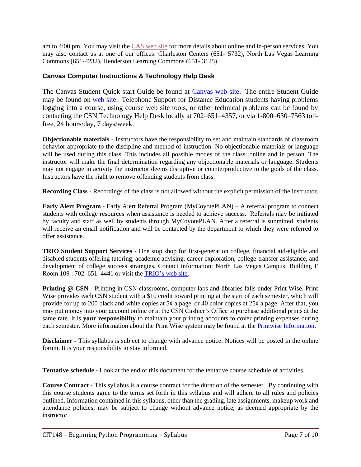am to 4:00 pm. You may visit the [CAS web site](http://www.csn.edu/centers-academic-success) for more details about online and in-person services. You may also contact us at one of our offices: Charleston Centers (651- 5732), North Las Vegas Learning Commons (651-4232), Henderson Learning Commons (651- 3125).

#### **Canvas Computer Instructions & Technology Help Desk**

The Canvas Student Quick start Guide be found at [Canvas web site.](http://guides.instructure.com/m/8470) The entire Student Guide may be found on [web site.](http://guides.instructure.com/m/4212) Telephone Support for Distance Education students having problems logging into a course, using course web site tools, or other technical problems can be found by contacting the CSN Technology Help Desk locally at 702–651–4357, or via 1-800–630–7563 tollfree, 24 hours/day, 7 days/week.

**Objectionable materials -** Instructors have the responsibility to set and maintain standards of classroom behavior appropriate to the discipline and method of instruction. No objectionable materials or language will be used during this class. This includes all possible modes of the class: online and in person. The instructor will make the final determination regarding any objectionable materials or language. Students may not engage in activity the instructor deems disruptive or counterproductive to the goals of the class. Instructors have the right to remove offending students from class.

**Recording Class -** Recordings of the class is not allowed without the explicit permission of the instructor.

**Early Alert Program -** Early Alert Referral Program (MyCoyotePLAN) – A referral program to connect students with college resources when assistance is needed to achieve success. Referrals may be initiated by faculty and staff as well by students through MyCoyotePLAN. After a referral is submitted, students will receive an email notification and will be contacted by the department to which they were referred to offer assistance.

**TRIO Student Support Services** - One stop shop for first-generation college, financial aid-eligible and disabled students offering tutoring, academic advising, career exploration, college-transfer assistance, and development of college success strategies. Contact information: North Las Vegas Campus: Building E Room 109 : 702–651–4441 or visit the [TRIO's](https://www.csn.edu/trio) web site.

**Printing @ CSN -** Printing in CSN classrooms, computer labs and libraries falls under Print Wise. Print Wise provides each CSN student with a \$10 credit toward printing at the start of each semester, which will provide for up to 200 black and white copies at  $5¢$  a page, or 40 color copies at  $25¢$  a page. After that, you may put money into your account online or at the CSN Cashier's Office to purchase additional prints at the same rate. It is **your responsibility** to maintain your printing accounts to cover printing expenses during each semester. More information about the Print Wise system may be found at the *Printwise Information*.

**Disclaimer -** This syllabus is subject to change with advance notice. Notices will be posted in the online forum. It is your responsibility to stay informed.

**Tentative schedule -** Look at the end of this document for the tentative course schedule of activities.

**Course Contract -** This syllabus is a course contract for the duration of the semester. By continuing with this course students agree to the terms set forth in this syllabus and will adhere to all rules and policies outlined. Information contained in this syllabus, other than the grading, late assignments, makeup work and attendance policies, may be subject to change without advance notice, as deemed appropriate by the instructor.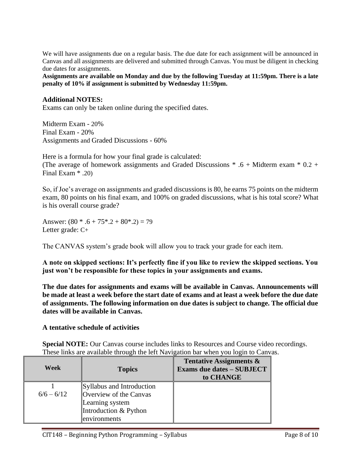We will have assignments due on a regular basis. The due date for each assignment will be announced in Canvas and all assignments are delivered and submitted through Canvas. You must be diligent in checking due dates for assignments.

**Assignments are available on Monday and due by the following Tuesday at 11:59pm. There is a late penalty of 10% if assignment is submitted by Wednesday 11:59pm.** 

#### **Additional NOTES:**

Exams can only be taken online during the specified dates.

Midterm Exam - 20% Final Exam - 20% Assignments and Graded Discussions - 60%

Here is a formula for how your final grade is calculated: (The average of homework assignments and Graded Discussions  $* .6 + M$ idterm exam  $* 0.2 +$ Final Exam \* .20)

So, if Joe's average on assignments and graded discussions is 80, he earns 75 points on the midterm exam, 80 points on his final exam, and 100% on graded discussions, what is his total score? What is his overall course grade?

Answer:  $(80 * .6 + 75 * .2 + 80 * .2) = 79$ Letter grade: C+

The CANVAS system's grade book will allow you to track your grade for each item.

**A note on skipped sections: It's perfectly fine if you like to review the skipped sections. You just won't be responsible for these topics in your assignments and exams.**

**The due dates for assignments and exams will be available in Canvas. Announcements will be made at least a week before the start date of exams and at least a week before the due date of assignments. The following information on due dates is subject to change. The official due dates will be available in Canvas.**

#### **A tentative schedule of activities**

**Special NOTE:** Our Canvas course includes links to Resources and Course video recordings. These links are available through the left Navigation bar when you login to Canvas.

| Week         | <b>Topics</b>                                                                                                   | <b>Tentative Assignments &amp;</b><br><b>Exams due dates - SUBJECT</b><br>to CHANGE |
|--------------|-----------------------------------------------------------------------------------------------------------------|-------------------------------------------------------------------------------------|
| $6/6 - 6/12$ | Syllabus and Introduction<br>Overview of the Canvas<br>Learning system<br>Introduction & Python<br>environments |                                                                                     |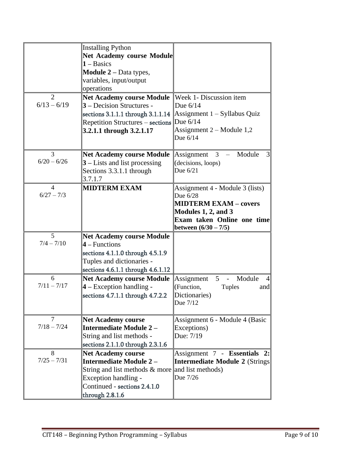| $\mathcal{D}_{\mathcal{L}}$ | <b>Installing Python</b><br><b>Net Academy course Module</b><br>$1 - \text{Basics}$<br><b>Module 2</b> – Data types,<br>variables, input/output<br>operations<br><b>Net Academy course Module</b>     | Week 1- Discussion item                                                                                                                                    |
|-----------------------------|-------------------------------------------------------------------------------------------------------------------------------------------------------------------------------------------------------|------------------------------------------------------------------------------------------------------------------------------------------------------------|
| $6/13 - 6/19$               | 3 – Decision Structures -<br>sections 3.1.1.1 through 3.1.1.14<br><b>Repetition Structures - sections</b><br>3.2.1.1 through 3.2.1.17                                                                 | Due $6/14$<br>Assignment $1 - Syllabus Quiz$<br>Due 6/14<br>Assignment $2 -$ Module 1,2<br>Due $6/14$                                                      |
| 3<br>$6/20 - 6/26$          | <b>Net Academy course Module</b><br>$3$ – Lists and list processing<br>Sections 3.3.1.1 through<br>3.7.1.7                                                                                            | Assignment<br>- Module<br>$\overline{3}$<br>3<br>(decisions, loops)<br>Due $6/21$                                                                          |
| 4<br>$6/27 - 7/3$           | <b>MIDTERM EXAM</b>                                                                                                                                                                                   | Assignment 4 - Module 3 (lists)<br>Due 6/28<br><b>MIDTERM EXAM - covers</b><br>Modules 1, 2, and 3<br>Exam taken Online one time<br>between $(6/30 - 7/5)$ |
| 5<br>$7/4 - 7/10$           | <b>Net Academy course Module</b><br>$4 - Functions$<br>sections 4.1.1.0 through 4.5.1.9<br>Tuples and dictionaries -<br>sections 4.6.1.1 through 4.6.1.12                                             |                                                                                                                                                            |
| 6<br>$7/11 - 7/17$          | <b>Net Academy course Module</b><br>$4 - Exception handling -$<br>sections 4.7.1.1 through 4.7.2.2                                                                                                    | Module<br>Assignment<br>5 <sup>5</sup><br>$\equiv$<br>$\overline{4}$<br>(Function,<br><b>Tuples</b><br>and<br>Dictionaries)<br>Due 7/12                    |
| 7<br>$7/18 - 7/24$          | <b>Net Academy course</b><br>Intermediate Module 2-<br>String and list methods -<br>sections 2.1.1.0 through 2.3.1.6                                                                                  | Assignment 6 - Module 4 (Basic<br>Exceptions)<br>Due: 7/19                                                                                                 |
| 8<br>$7/25 - 7/31$          | <b>Net Academy course</b><br><b>Intermediate Module 2-</b><br>String and list methods $\&$ more and list methods)<br><b>Exception handling -</b><br>Continued - sections 2.4.1.0<br>through $2.8.1.6$ | Assignment 7 - Essentials 2:<br><b>Intermediate Module 2 (Strings)</b><br>Due 7/26                                                                         |